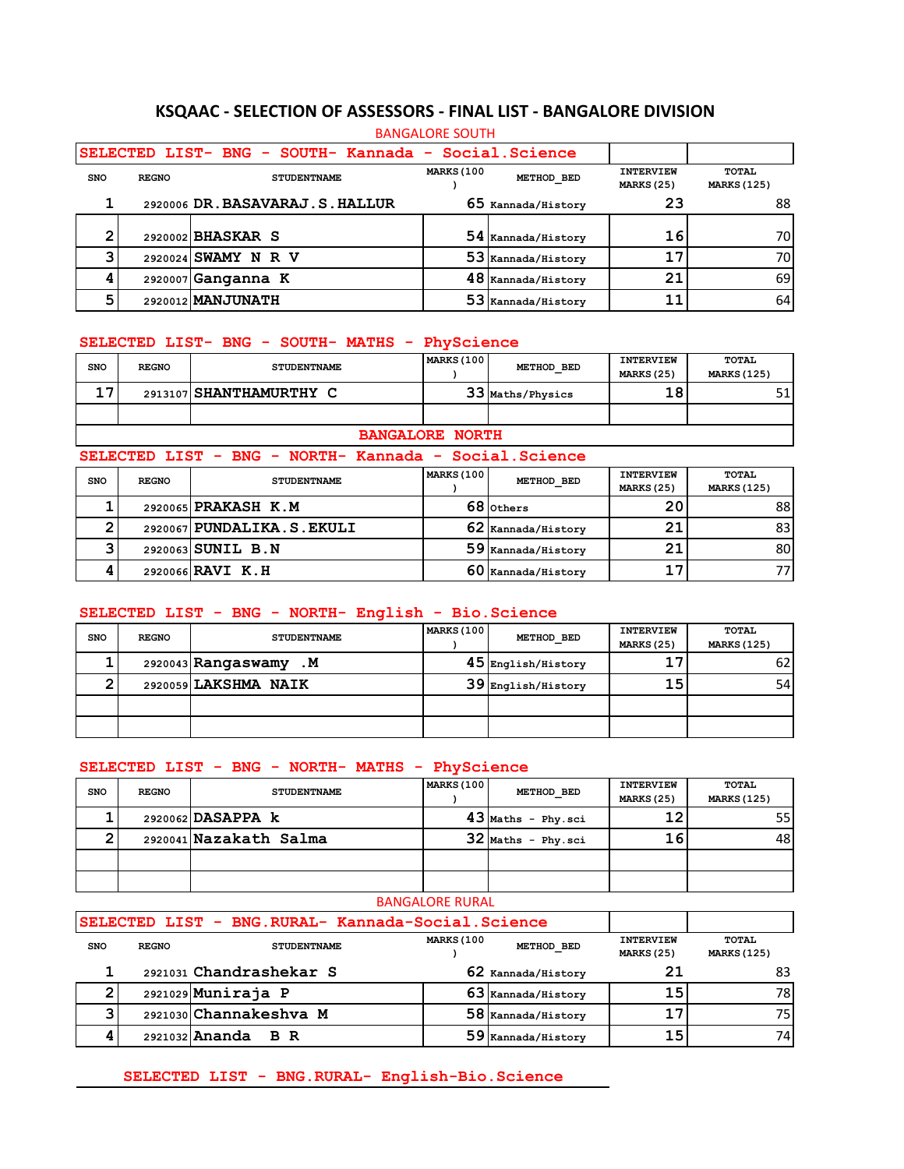### **KSQAAC - SELECTION OF ASSESSORS - FINAL LIST - BANGALORE DIVISION**

|            | <b>BANGALORE SOUTH</b> |                                                      |                   |                    |                                |                             |  |  |  |  |
|------------|------------------------|------------------------------------------------------|-------------------|--------------------|--------------------------------|-----------------------------|--|--|--|--|
|            |                        | SELECTED LIST- BNG - SOUTH- Kannada - Social.Science |                   |                    |                                |                             |  |  |  |  |
| <b>SNO</b> | <b>REGNO</b>           | <b>STUDENTNAME</b>                                   | <b>MARKS (100</b> | METHOD BED         | <b>INTERVIEW</b><br>MARKS (25) | TOTAL<br><b>MARKS (125)</b> |  |  |  |  |
|            |                        | 2920006 DR. BASAVARAJ. S. HALLUR                     |                   | 65 Kannada/History | 23                             | 88                          |  |  |  |  |
| 2          |                        | 2920002 BHASKAR S                                    |                   | 54 Kannada/History | 16                             | 70                          |  |  |  |  |
|            |                        | 2920024 SWAMY N R V                                  |                   | 53 Kannada/History | 17                             | 70                          |  |  |  |  |
|            |                        | 2920007 Ganganna K                                   |                   | 48 Kannada/History | 21                             | 69                          |  |  |  |  |
| 5          |                        | 2920012 MANJUNATH                                    | 53                | Kannada/History    | 11                             | 64                          |  |  |  |  |

### **SELECTED LIST- BNG - SOUTH- MATHS - PhyScience**

| <b>SNO</b> | <b>REGNO</b> | <b>STUDENTNAME</b>                                    | <b>MARKS (100</b>      | METHOD BED       | <b>INTERVIEW</b><br><b>MARKS (25)</b> | TOTAL<br><b>MARKS (125)</b> |
|------------|--------------|-------------------------------------------------------|------------------------|------------------|---------------------------------------|-----------------------------|
| 17         |              | 2913107 SHANTHAMURTHY C                               |                        | 33 Maths/Physics | 18                                    |                             |
|            |              |                                                       |                        |                  |                                       |                             |
|            |              |                                                       | <b>BANGALORE NORTH</b> |                  |                                       |                             |
|            |              | SELECTED LIST - BNG - NORTH- Kannada - Social.Science |                        |                  |                                       |                             |
| <b>SNO</b> | <b>REGNO</b> | <b>STUDENTNAME</b>                                    | MARKS (100             | METHOD BED       | <b>INTERVIEW</b><br><b>MARKS (25)</b> | TOTAL<br><b>MARKS (125)</b> |

| <b>SNO</b> | <b>REGNO</b> | <b>STUDENTNAME</b>        | METHOD BED             | MARKS (25) | <b>MARKS (125)</b> |
|------------|--------------|---------------------------|------------------------|------------|--------------------|
|            |              | 2920065 PRAKASH K.M       | 68 Others              | 20         | 88 I               |
|            |              | 2920067 PUNDALIKA.S.EKULI | 62 Kannada/History     | 21         | 831                |
|            |              | 2920063 SUNIL B.N         | 59 Kannada/History     | 21         | 80I                |
|            |              | 2920066 RAVI K.H          | $60\,$ Kannada/History | 17         |                    |

### **SELECTED LIST - BNG - NORTH- English - Bio.Science**

| <b>SNO</b> | <b>REGNO</b> | <b>STUDENTNAME</b>       | <b>MARKS (100)</b> | METHOD BED           | <b>INTERVIEW</b><br><b>MARKS (25)</b> | TOTAL<br><b>MARKS (125)</b> |
|------------|--------------|--------------------------|--------------------|----------------------|---------------------------------------|-----------------------------|
|            |              | 2920043 Rangaswamy<br>.м |                    | $45$ English/History | 17                                    | 62                          |
|            |              | 2920059 LAKSHMA NAIK     |                    | 39 English/History   | 15                                    | 54                          |
|            |              |                          |                    |                      |                                       |                             |
|            |              |                          |                    |                      |                                       |                             |

#### **SELECTED LIST - BNG - NORTH- MATHS - PhyScience**

| <b>SNO</b> | <b>REGNO</b> | <b>STUDENTNAME</b>                                | <b>MARKS (100</b>      | METHOD BED           | <b>INTERVIEW</b><br>MARKS (25)            | TOTAL<br><b>MARKS (125)</b> |
|------------|--------------|---------------------------------------------------|------------------------|----------------------|-------------------------------------------|-----------------------------|
|            |              | 2920062 DASAPPA k                                 |                        | $43$ Maths - Phy.sci | 12                                        | 55                          |
| ◠          |              | 2920041 Nazakath Salma                            |                        | $32$ Maths - Phy.sci | 16                                        | 48                          |
|            |              |                                                   |                        |                      |                                           |                             |
|            |              |                                                   |                        |                      |                                           |                             |
|            |              |                                                   | <b>BANGALORE RURAL</b> |                      |                                           |                             |
|            |              | SELECTED LIST - BNG.RURAL- Kannada-Social.Science |                        |                      |                                           |                             |
| <b>SNO</b> | <b>REGNO</b> | <b>STUDENTNAME</b>                                | <b>MARKS (100</b>      | METHOD BED           | <b>INTERVIEW</b><br>$10.55$ means $10.53$ | TOTAL                       |

| ---- | ------- | -------------           |                        | MARKS (25) | <b>MARKS (125)</b> |
|------|---------|-------------------------|------------------------|------------|--------------------|
|      |         | 2921031 Chandrashekar S | $62$ Kannada/History   |            |                    |
|      |         | $2921029$ Muniraja P    | $63$ Kannada/History   | 15         | 78 I               |
|      |         | 2921030 Channakeshva M  | $58\,$ Kannada/History | 17         | 75                 |
|      |         | $2921032$ Ananda        | $59\,$ Kannada/History | 15         | 74                 |

## **SELECTED LIST - BNG.RURAL- English-Bio.Science**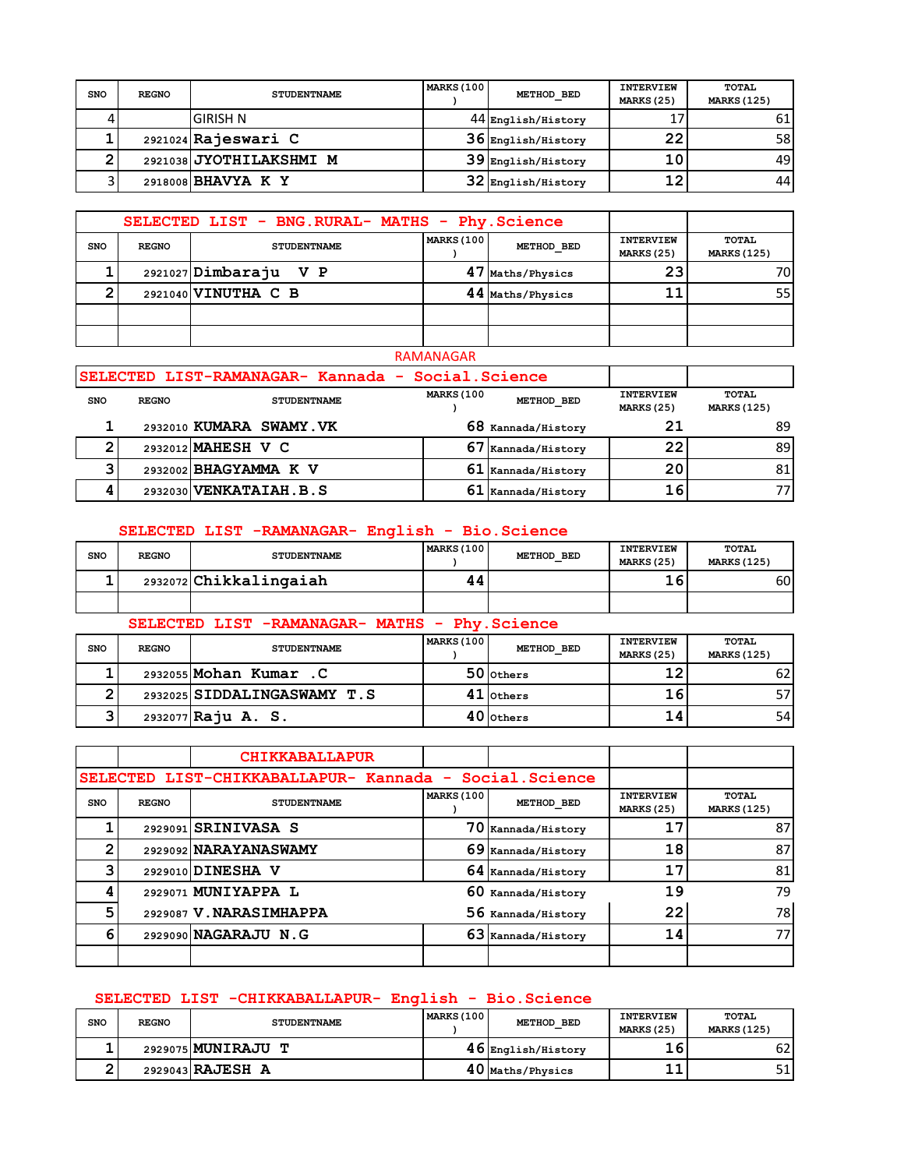| SNO | <b>REGNO</b> | <b>STUDENTNAME</b>      | MARKS (100 | METHOD BED           | <b>INTERVIEW</b><br>MARKS (25) | TOTAL<br><b>MARKS (125)</b> |
|-----|--------------|-------------------------|------------|----------------------|--------------------------------|-----------------------------|
|     |              | <b>GIRISH N</b>         |            | 44 English/History   | 17                             | 61                          |
|     |              | 2921024 Rajeswari C     |            | $36$ English/History | 22                             | 58                          |
|     |              | 2921038 JYOTHILAKSHMI M |            | $39$ English/History | 10                             | 491                         |
|     |              | 2918008 BHAVYA K Y      |            | 32 English/History   | 12                             | 44 I                        |

|     | SELECTED LIST - BNG.RURAL- MATHS - Phy.Science |                       |                   |                  |                                       |                             |
|-----|------------------------------------------------|-----------------------|-------------------|------------------|---------------------------------------|-----------------------------|
| SNO | <b>REGNO</b>                                   | <b>STUDENTNAME</b>    | <b>MARKS (100</b> | METHOD BED       | <b>INTERVIEW</b><br><b>MARKS (25)</b> | TOTAL<br><b>MARKS (125)</b> |
|     |                                                | 2921027 Dimbaraju V P |                   | 47 Maths/Physics | 23                                    | 70I                         |
|     |                                                | 2921040 VINUTHA C B   |                   | 44 Maths/Physics |                                       | 55                          |
|     |                                                |                       |                   |                  |                                       |                             |
|     |                                                |                       |                   |                  |                                       |                             |

### RAMANAGAR

|            |              | SELECTED LIST-RAMANAGAR- Kannada - Social.Science |                   |                      |                                       |                             |
|------------|--------------|---------------------------------------------------|-------------------|----------------------|---------------------------------------|-----------------------------|
| <b>SNO</b> | <b>REGNO</b> | <b>STUDENTNAME</b>                                | <b>MARKS (100</b> | METHOD BED           | <b>INTERVIEW</b><br><b>MARKS (25)</b> | TOTAL<br><b>MARKS (125)</b> |
|            |              | 2932010 KUMARA SWAMY. VK                          |                   | 68 Kannada/History   |                                       | 89                          |
|            |              | 2932012 MAHESH V C                                |                   | Kannada/History      | 22                                    | 89                          |
|            |              | 2932002 BHAGYAMMA K V                             |                   | $61$ Kannada/History | 20                                    | 81                          |
|            |              | 2932030 VENKATAIAH. B.S                           |                   | $61$ Kannada/History | 16                                    |                             |

# **SELECTED LIST -RAMANAGAR- English - Bio.Science**

| <b>SNO</b> | <b>REGNO</b> | <b>STUDENTNAME</b>     | MARKS (100 | METHOD BED | <b>INTERVIEW</b><br>MARKS (25) | TOTAL<br><b>MARKS (125)</b> |
|------------|--------------|------------------------|------------|------------|--------------------------------|-----------------------------|
|            |              | 2932072 Chikkalingaiah |            |            | 16                             | 60'                         |
|            |              |                        |            |            |                                |                             |

|            |              | SELECTED LIST -RAMANAGAR- MATHS - Phy. Science |                   |             |                                |                             |
|------------|--------------|------------------------------------------------|-------------------|-------------|--------------------------------|-----------------------------|
| <b>SNO</b> | <b>REGNO</b> | <b>STUDENTNAME</b>                             | <b>MARKS (100</b> | METHOD BED  | <b>INTERVIEW</b><br>MARKS (25) | TOTAL<br><b>MARKS (125)</b> |
|            |              | 2932055 Mohan Kumar . C                        |                   | 50 others   | 12                             |                             |
|            |              | 2932025 SIDDALINGASWAMY T.S                    |                   | $41$ others | 16                             |                             |
|            |              | 2932077 Raju A. S.                             |                   | $40$ others | 14                             | 54                          |

|            |                                                        | <b>CHIKKABALLAPUR</b>   |                   |                    |                                       |                             |
|------------|--------------------------------------------------------|-------------------------|-------------------|--------------------|---------------------------------------|-----------------------------|
|            | SELECTED LIST-CHIKKABALLAPUR- Kannada - Social.Science |                         |                   |                    |                                       |                             |
| <b>SNO</b> | <b>REGNO</b>                                           | <b>STUDENTNAME</b>      | <b>MARKS (100</b> | METHOD BED         | <b>INTERVIEW</b><br><b>MARKS (25)</b> | TOTAL<br><b>MARKS (125)</b> |
|            |                                                        | 2929091 SRINIVASA S     |                   | 70 Kannada/History | 17                                    | 87                          |
| ◠          |                                                        | 2929092 NARAYANASWAMY   |                   | 69 Kannada/History | 18                                    | 87                          |
|            |                                                        | 2929010 DINESHA V       |                   | 64 Kannada/History | 17                                    | 81                          |
|            |                                                        | 2929071 MUNIYAPPA L     | 60                | Kannada/History    | 19                                    | 79                          |
| 5          |                                                        | 2929087 V. NARASIMHAPPA |                   | 56 Kannada/History | 22                                    | 78                          |
| 6          |                                                        | 2929090 NAGARAJU N.G    |                   | 63 Kannada/History | 14                                    | 77                          |
|            |                                                        |                         |                   |                    |                                       |                             |

## **SELECTED LIST -CHIKKABALLAPUR- English - Bio.Science**

| <b>SNO</b> | <b>REGNO</b> | <b>STUDENTNAME</b> | <b>MARKS (100</b> | METHOD BED             | <b>INTERVIEW</b><br>MARKS (25) | TOTAL<br><b>MARKS (125)</b> |
|------------|--------------|--------------------|-------------------|------------------------|--------------------------------|-----------------------------|
|            |              | 2929075 MUNIRAJU T |                   | $46\,$ English/History |                                | 52                          |
|            |              | 2929043 RAJESH A   |                   | $40$ Maths/Physics     | ᆂᆂ                             |                             |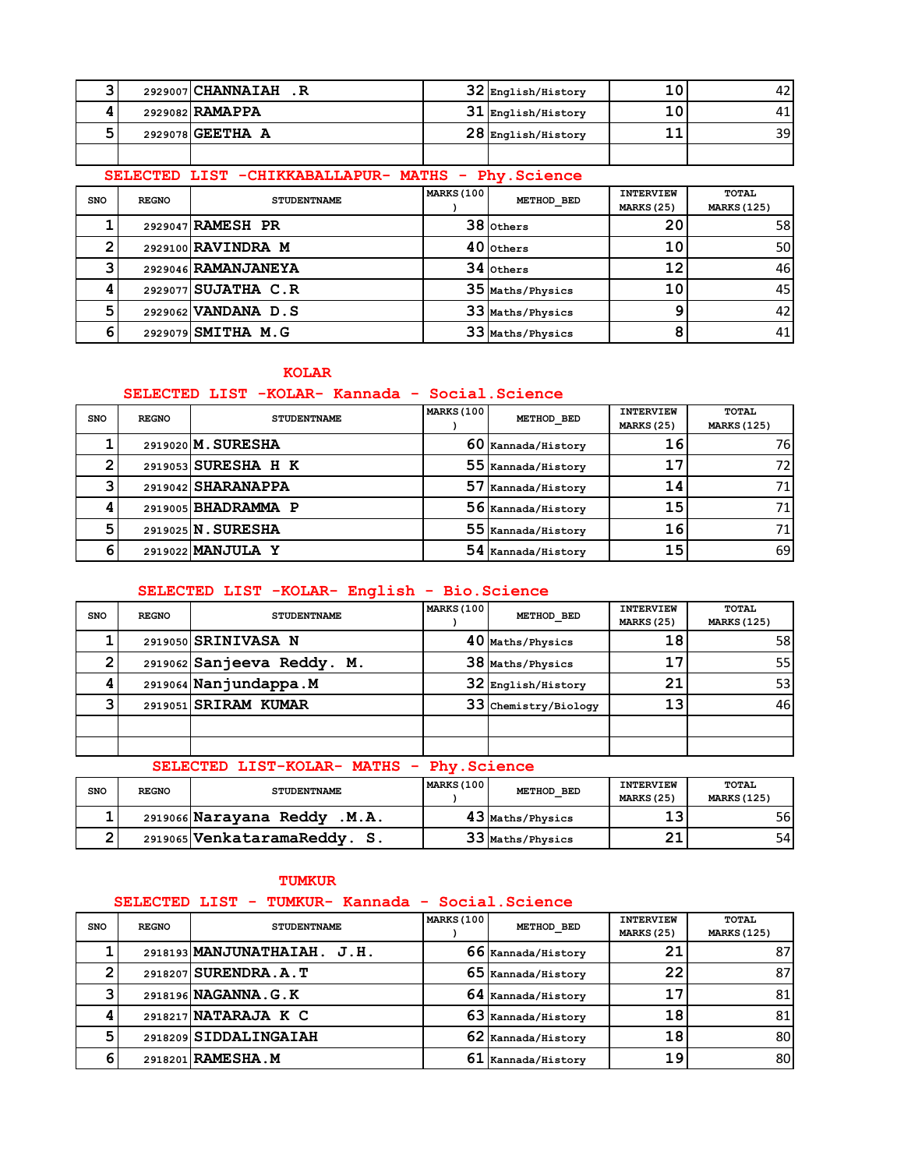|  | 2929007 CHANNAIAH .R | $32$ English/History   | 10 | 42 |
|--|----------------------|------------------------|----|----|
|  | 2929082 RAMAPPA      | $31$ English/History   | 10 |    |
|  | 2929078 GEETHA A     | $28\,$ English/History | ᆂᆂ | 39 |
|  |                      |                        |    |    |

# **SELECTED LIST -CHIKKABALLAPUR- MATHS - Phy.Science**

| <b>SNO</b> | <b>REGNO</b> | <b>STUDENTNAME</b>  | MARKS (100 | METHOD BED       | <b>INTERVIEW</b><br><b>MARKS (25)</b> | TOTAL<br><b>MARKS (125)</b> |
|------------|--------------|---------------------|------------|------------------|---------------------------------------|-----------------------------|
|            |              | 2929047 RAMESH PR   |            | 38 Others        | 20                                    | 58                          |
|            |              | 2929100 RAVINDRA M  |            | $40$ others      | 10                                    | 50                          |
|            |              | 2929046 RAMANJANEYA |            | $34$ others      | 12                                    | 46                          |
|            |              | 2929077 SUJATHA C.R |            | 35 Maths/Physics | 10                                    | 45                          |
|            |              | 2929062 VANDANA D.S |            | 33 Maths/Physics |                                       | 42                          |
|            |              | 2929079 SMITHA M.G  |            | 33 Maths/Physics |                                       | 41                          |

### **KOLAR**

### **SELECTED LIST -KOLAR- Kannada - Social.Science**

| <b>SNO</b> | <b>REGNO</b> | <b>STUDENTNAME</b>  | MARKS (100 | METHOD BED           | <b>INTERVIEW</b>   | TOTAL |
|------------|--------------|---------------------|------------|----------------------|--------------------|-------|
|            |              |                     |            | <b>MARKS (25)</b>    | <b>MARKS (125)</b> |       |
|            |              | 2919020 M. SURESHA  |            | 60 Kannada/History   | 16                 | 76I   |
|            |              | 2919053 SURESHA H K |            | 55 Kannada/History   | 17                 | 72.   |
|            |              | 2919042 SHARANAPPA  |            | 57 Kannada/History   | 14                 |       |
|            |              | 2919005 BHADRAMMA P |            | 56 Kannada/History   | 15                 |       |
|            |              | 2919025 N. SURESHA  |            | 55 Kannada/History   | 16                 |       |
|            |              | 2919022 MANJULA Y   |            | $54$ Kannada/History | 15                 | 69    |

## **SELECTED LIST -KOLAR- English - Bio.Science**

| <b>SNO</b> | <b>REGNO</b> | <b>STUDENTNAME</b>         | <b>MARKS (100</b> | METHOD BED           | <b>INTERVIEW</b><br><b>MARKS (25)</b> | <b>TOTAL</b><br><b>MARKS (125)</b> |
|------------|--------------|----------------------------|-------------------|----------------------|---------------------------------------|------------------------------------|
|            |              | 2919050 SRINIVASA N        |                   | 40 Maths/Physics     | 18                                    | 58                                 |
|            |              | 2919062 Sanjeeva Reddy. M. |                   | 38 Maths/Physics     | 17                                    | 551                                |
|            |              | 2919064 Nanjundappa.M      |                   | 32 English/History   | 21                                    | 53                                 |
|            |              | 2919051 SRIRAM KUMAR       |                   | 33 Chemistry/Biology | 13                                    | 46                                 |
|            |              |                            |                   |                      |                                       |                                    |
|            |              |                            |                   |                      |                                       |                                    |

## **SELECTED LIST-KOLAR- MATHS - Phy.Science**

| <b>SNO</b> | <b>REGNO</b> | <b>STUDENTNAME</b>              | MARKS (100 | METHOD BED       | <b>INTERVIEW</b><br><b>MARKS (25)</b> | TOTAL<br><b>MARKS (125)</b> |
|------------|--------------|---------------------------------|------------|------------------|---------------------------------------|-----------------------------|
|            |              | 2919066 Narayana Reddy<br>.M.A. |            | 43 Maths/Physics | כ 1<br>ر ـ                            | 56I                         |
|            |              | 2919065 VenkataramaReddy. S.    |            | 33 Maths/Physics | ິ<br>ᅀᆠ                               | 54 I                        |

#### **TUMKUR**

### **SELECTED LIST - TUMKUR- Kannada - Social.Science**

| <b>SNO</b> | <b>REGNO</b> | <b>STUDENTNAME</b>          | <b>MARKS (100</b> | METHOD BED           | <b>INTERVIEW</b><br>MARKS (25) | TOTAL<br><b>MARKS (125)</b> |
|------------|--------------|-----------------------------|-------------------|----------------------|--------------------------------|-----------------------------|
|            |              | 2918193 MANJUNATHAIAH. J.H. |                   | 66 Kannada/History   | 21                             | 871                         |
|            |              | 2918207 SURENDRA.A.T        |                   | 65 Kannada/History   | 22                             | 87                          |
| ີ          |              | 2918196 NAGANNA.G.K         |                   | $64$ Kannada/History |                                | 81                          |
|            |              | 2918217 NATARAJA K C        |                   | 63 Kannada/History   | 18                             | 81                          |
| 5          |              | 2918209 SIDDALINGAIAH       |                   | 62 Kannada/History   | 18                             | 80                          |
| 6          |              | 2918201 RAMESHA.M           | 61                | Kannada/History      | 19                             | 80                          |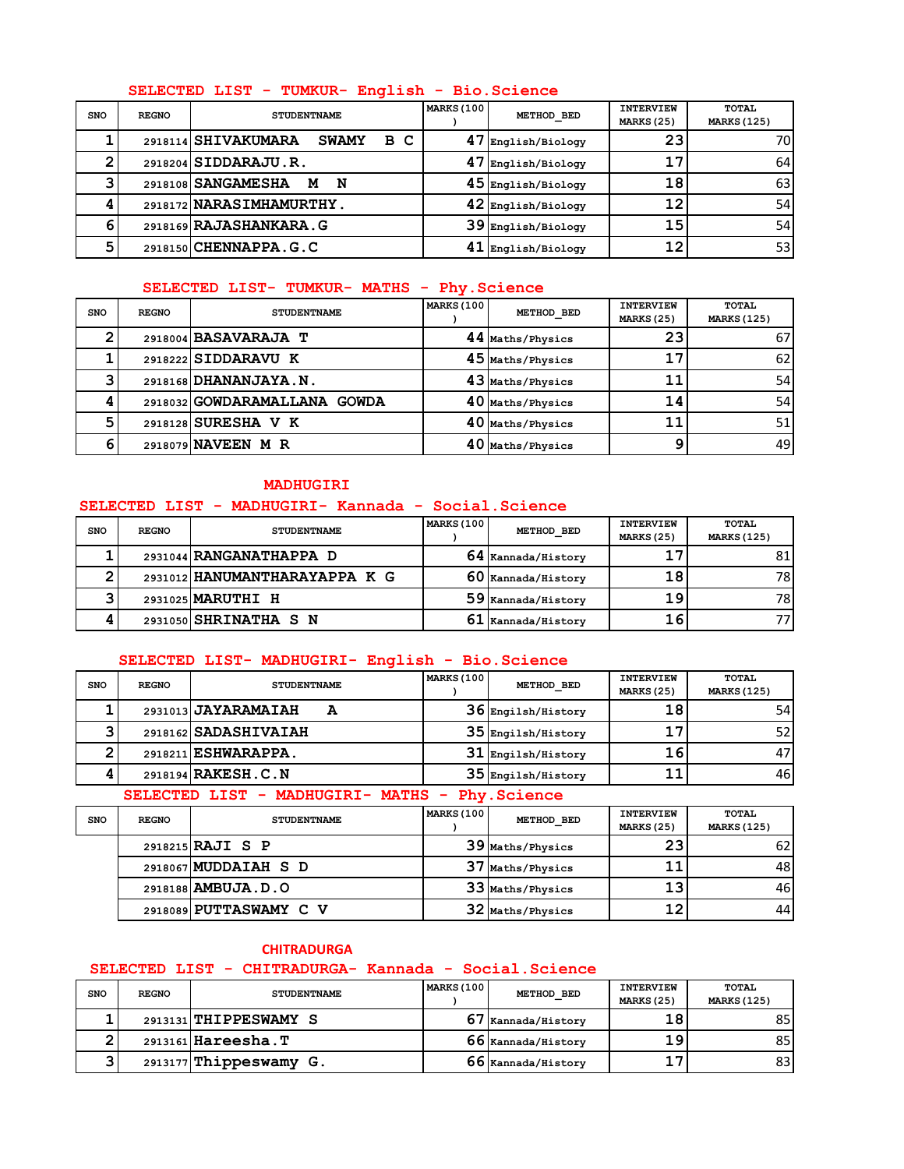### **SELECTED LIST - TUMKUR- English - Bio.Science**

| <b>SNO</b> | <b>REGNO</b> | <b>STUDENTNAME</b>                              | <b>MARKS (100</b> | METHOD BED         | <b>INTERVIEW</b><br>MARKS (25) | <b>TOTAL</b><br><b>MARKS (125)</b> |
|------------|--------------|-------------------------------------------------|-------------------|--------------------|--------------------------------|------------------------------------|
|            |              | 2918114 SHIVAKUMARA<br>в<br>- C<br><b>SWAMY</b> | 47                | English/Biology    | 23                             | 701                                |
|            |              | 2918204 SIDDARAJU.R.                            |                   | English/Biology    | 17                             | 64                                 |
| ີ          |              | 2918108 SANGAMESHA<br>N<br>м                    |                   | 45 English/Biology | 18                             | 63                                 |
|            |              | 2918172 NARASIMHAMURTHY.                        |                   | 42 English/Biology | 12                             | 54                                 |
| 6          |              | 2918169 RAJASHANKARA. G                         |                   | 39 English/Biology | 15                             | 54                                 |
| б,         |              | 2918150 CHENNAPPA. G. C                         |                   | English/Biology    | 12                             | 53                                 |

### **SELECTED LIST- TUMKUR- MATHS - Phy.Science**

| <b>SNO</b> | <b>REGNO</b> | <b>STUDENTNAME</b>           | <b>MARKS (100)</b> | METHOD BED       | <b>INTERVIEW</b><br><b>MARKS (25)</b> | TOTAL<br><b>MARKS (125)</b> |
|------------|--------------|------------------------------|--------------------|------------------|---------------------------------------|-----------------------------|
|            |              | 2918004 BASAVARAJA T         |                    | 44 Maths/Physics | 23                                    | 67                          |
|            |              | 2918222 SIDDARAVU K          |                    | 45 Maths/Physics | 17                                    | 62                          |
|            |              | 2918168 DHANANJAYA.N.        |                    | 43 Maths/Physics |                                       | 54                          |
|            |              | 2918032 GOWDARAMALLANA GOWDA |                    | 40 Maths/Physics | 14                                    | 54                          |
| 5          |              | 2918128 SURESHA V K          |                    | 40 Maths/Physics |                                       | 51                          |
|            |              | 2918079 NAVEEN M R           |                    | 40 Maths/Physics |                                       | 49                          |

#### **MADHUGIRI**

### **SELECTED LIST - MADHUGIRI- Kannada - Social.Science**

| <b>SNO</b> | <b>REGNO</b> | <b>STUDENTNAME</b>            | <b>MARKS (100</b> | METHOD BED           | <b>INTERVIEW</b><br>MARKS (25) | TOTAL<br><b>MARKS (125)</b> |
|------------|--------------|-------------------------------|-------------------|----------------------|--------------------------------|-----------------------------|
|            |              |                               |                   |                      |                                |                             |
|            |              | 2931044 RANGANATHAPPA D       |                   | $64$ Kannada/History | 17                             | 81                          |
|            |              | 2931012 HANUMANTHARAYAPPA K G |                   | $60$ Kannada/History | 18                             | 78I                         |
|            |              | 2931025 MARUTHI H             |                   | 59 Kannada/History   | 19                             | 78I                         |
|            |              | 2931050 SHRINATHA S N         |                   | $61$ Kannada/History | 16                             |                             |

## **SELECTED LIST- MADHUGIRI- English - Bio.Science**

| <b>SNO</b> | <b>REGNO</b> | <b>STUDENTNAME</b>       | <b>MARKS (100</b> | METHOD BED           | <b>INTERVIEW</b><br>MARKS (25) | TOTAL<br><b>MARKS (125)</b> |
|------------|--------------|--------------------------|-------------------|----------------------|--------------------------------|-----------------------------|
|            |              | 2931013 JAYARAMAIAH<br>A |                   | $36$ Engilsh/History | 18                             | 54 I                        |
|            |              | 2918162 SADASHIVAIAH     |                   | 35 Engilsh/History   |                                | 52                          |
|            |              | 2918211 ESHWARAPPA.      |                   | $31$ Engilsh/History | 16                             | 47                          |
|            |              | 2918194 RAKESH. C. N     |                   | 35 Engilsh/History   |                                | 46                          |

### **SELECTED LIST - MADHUGIRI- MATHS - Phy.Science**

| <b>SNO</b> | <b>REGNO</b> | <b>STUDENTNAME</b>      | <b>MARKS (100)</b> | METHOD BED       | <b>INTERVIEW</b><br>MARKS (25) | TOTAL<br><b>MARKS (125)</b> |
|------------|--------------|-------------------------|--------------------|------------------|--------------------------------|-----------------------------|
|            |              | 2918215 <b>RAJI</b> S P |                    | 39 Maths/Physics | 23                             | 62                          |
|            |              | 2918067 MUDDAIAH S D    |                    | 37 Maths/Physics |                                | 48                          |
|            |              | 2918188 AMBUJA.D.O      |                    | 33 Maths/Physics | 13                             | 46 I                        |
|            |              | 2918089 PUTTASWAMY C V  |                    | 32 Maths/Physics | 12                             | 44                          |

### **CHITRADURGA**

## **SELECTED LIST - CHITRADURGA- Kannada - Social.Science**

| <b>SNO</b> | <b>REGNO</b> | <b>STUDENTNAME</b>       | <b>MARKS (100</b> | METHOD BED             | <b>INTERVIEW</b><br>MARKS (25) | TOTAL<br><b>MARKS (125)</b> |
|------------|--------------|--------------------------|-------------------|------------------------|--------------------------------|-----------------------------|
|            |              | 2913131 THIPPESWAMY S    |                   | $67\,$ Kannada/History | 18                             | 85                          |
|            |              | 2913161 Hareesha. T      |                   | 66 Kannada/History     | 19                             | 85                          |
|            |              | $2913177$ Thippeswamy G. |                   | 66 Kannada/History     | 17                             | 83                          |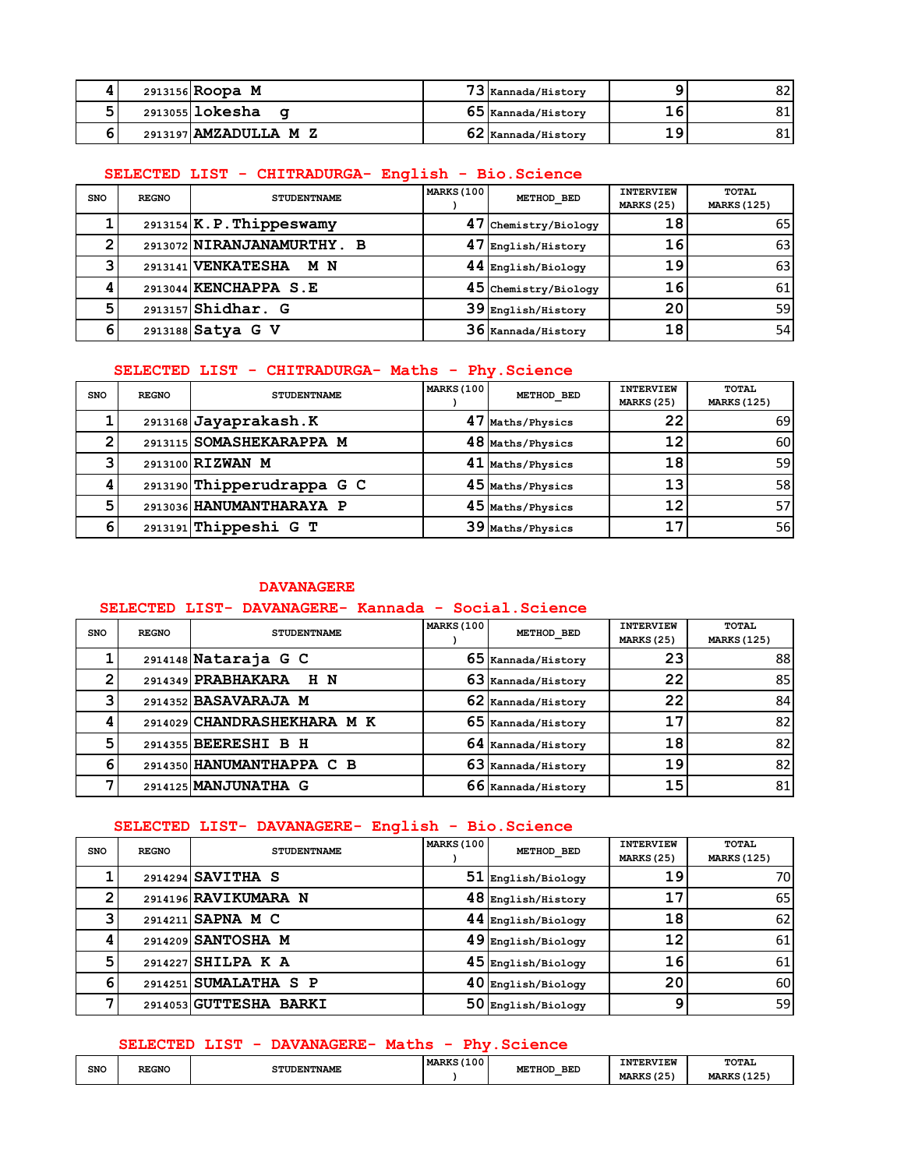|  | 2913156 Roopa M       | 73 Kannada/History   |    | 82 |
|--|-----------------------|----------------------|----|----|
|  | $2913055$ lokesha     | $65$ Kannada/History |    | ΟT |
|  | 2913197 AMZADULLA M Z | $62$ Kannada/History | 19 | 81 |

## **SELECTED LIST - CHITRADURGA- English - Bio.Science**

| <b>SNO</b> | <b>REGNO</b> | <b>STUDENTNAME</b>         | <b>MARKS (100</b> | METHOD BED           | <b>INTERVIEW</b><br><b>MARKS (25)</b> | TOTAL<br><b>MARKS (125)</b> |
|------------|--------------|----------------------------|-------------------|----------------------|---------------------------------------|-----------------------------|
|            |              | $2913154$ K.P. Thippeswamy |                   | 47 Chemistry/Biology | 18                                    | 65                          |
|            |              | 2913072 NIRANJANAMURTHY. B |                   | 47 English/History   | 16                                    | 63                          |
|            |              | 2913141 VENKATESHA M N     |                   | 44 English/Biology   | 19                                    | 63                          |
|            |              | 2913044 KENCHAPPA S.E      |                   | 45 Chemistry/Biology | 16                                    | 61                          |
| 5          |              | $2913157$ Shidhar. G       |                   | 39 English/History   | 20                                    | 59                          |
|            |              | 2913188 Satya G V          |                   | 36 Kannada/History   | 18                                    | 54                          |

### **SELECTED LIST - CHITRADURGA- Maths - Phy.Science**

| <b>SNO</b> | <b>REGNO</b> | <b>STUDENTNAME</b>         | <b>MARKS (100</b> | METHOD BED       | <b>INTERVIEW</b><br><b>MARKS (25)</b> | <b>TOTAL</b><br><b>MARKS (125)</b> |
|------------|--------------|----------------------------|-------------------|------------------|---------------------------------------|------------------------------------|
|            |              | 2913168 Jayaprakash.K      |                   | 47 Maths/Physics | 22                                    | 69                                 |
|            |              | 2913115 SOMASHEKARAPPA M   |                   | 48 Maths/Physics | 12                                    | 60                                 |
|            |              | 2913100 RIZWAN M           |                   | 41 Maths/Physics | 18                                    | 59                                 |
|            |              | 2913190 Thipperudrappa G C |                   | 45 Maths/Physics | 13                                    | 58                                 |
| 5          |              | 2913036 HANUMANTHARAYA P   |                   | 45 Maths/Physics | 12                                    | 57                                 |
|            |              | 2913191 Thippeshi G T      |                   | 39 Maths/Physics | 17                                    | 56                                 |

#### **DAVANAGERE**

### **SELECTED LIST- DAVANAGERE- Kannada - Social.Science**

| <b>SNO</b> | <b>REGNO</b> | <b>STUDENTNAME</b>          | <b>MARKS (100</b> | METHOD BED         | <b>INTERVIEW</b><br><b>MARKS (25)</b> | TOTAL<br><b>MARKS (125)</b> |
|------------|--------------|-----------------------------|-------------------|--------------------|---------------------------------------|-----------------------------|
|            |              | 2914148 Nataraja G C        |                   | 65 Kannada/History | 23                                    | 88                          |
|            |              | 2914349 PRABHAKARA<br>H N   |                   | 63 Kannada/History | 22                                    | 85                          |
|            |              | 2914352 BASAVARAJA M        |                   | 62 Kannada/History | 22                                    | 84                          |
|            |              | 2914029 CHANDRASHEKHARA M K |                   | 65 Kannada/History | 17                                    | 82                          |
|            |              | 2914355 BEERESHI B H        |                   | 64 Kannada/History | 18                                    | 82                          |
|            |              | 2914350 HANUMANTHAPPA C B   |                   | 63 Kannada/History | 19                                    | 82                          |
|            |              | 2914125 MANJUNATHA G        |                   | 66 Kannada/History | 15                                    | 81                          |

#### **SELECTED LIST- DAVANAGERE- English - Bio.Science**

| <b>SNO</b> | <b>REGNO</b> | <b>STUDENTNAME</b>     | <b>MARKS (100</b> | METHOD BED         | <b>INTERVIEW</b><br><b>MARKS (25)</b> | TOTAL<br><b>MARKS (125)</b> |
|------------|--------------|------------------------|-------------------|--------------------|---------------------------------------|-----------------------------|
|            |              | 2914294 SAVITHA S      | 51                | English/Biology    | 19                                    | 70                          |
|            |              | 2914196 RAVIKUMARA N   |                   | 48 English/History | 17                                    | 65                          |
|            |              | 2914211 SAPNA M C      |                   | 44 English/Biology | 18                                    | 62                          |
|            |              | 2914209 SANTOSHA M     |                   | 49 English/Biology | 12                                    | 61                          |
|            |              | 2914227 SHILPA K A     |                   | 45 English/Biology | 16                                    | 61                          |
| 6          |              | 2914251 SUMALATHA S P  |                   | 40 English/Biology | 20                                    | 60                          |
|            |              | 2914053 GUTTESHA BARKI | 50                | English/Biology    | 9                                     | 59                          |

#### **SELECTED LIST - DAVANAGERE- Maths - Phy.Science**

| SNO | <b>REGNO</b> | <b>STUDENTNAME</b> | (100)<br>$-1.05$<br>---<br><b>MARKS</b><br>_______<br>$\sim$ | <b>BED</b>  | <b>INTERVIEW</b>             | <b>TOTAI</b>       |
|-----|--------------|--------------------|--------------------------------------------------------------|-------------|------------------------------|--------------------|
|     | _____        |                    |                                                              | METHOD<br>- | (25)<br><b>MARKS</b><br>ــــ | <b>MARKS (125)</b> |